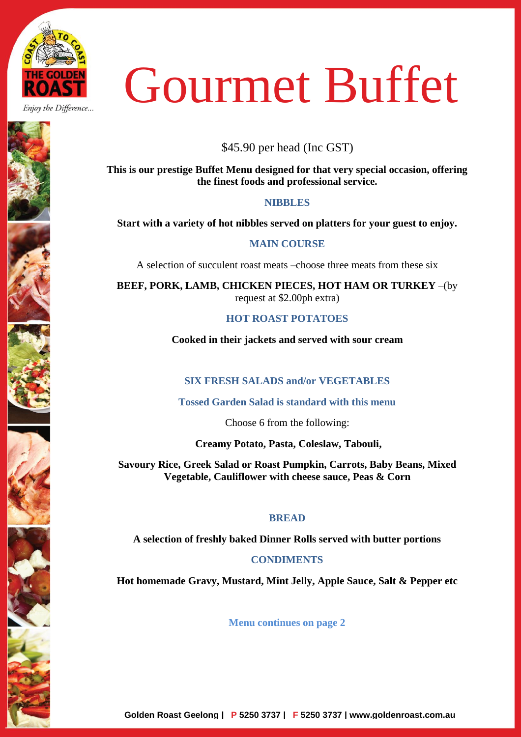

Enjoy the Difference...

# Gourmet Buffet

\$45.90 per head (Inc GST)

**This is our prestige Buffet Menu designed for that very special occasion, offering the finest foods and professional service.**

# **NIBBLES**

**Start with a variety of hot nibbles served on platters for your guest to enjoy.**

## **MAIN COURSE**

A selection of succulent roast meats –choose three meats from these six

**BEEF, PORK, LAMB, CHICKEN PIECES, HOT HAM OR TURKEY** –(by request at \$2.00ph extra)

## **HOT ROAST POTATOES**

**Cooked in their jackets and served with sour cream**

# **SIX FRESH SALADS and/or VEGETABLES**

**Tossed Garden Salad is standard with this menu**

Choose 6 from the following:

**Creamy Potato, Pasta, Coleslaw, Tabouli,** 

**Savoury Rice, Greek Salad or Roast Pumpkin, Carrots, Baby Beans, Mixed Vegetable, Cauliflower with cheese sauce, Peas & Corn**

## **BREAD**

**A selection of freshly baked Dinner Rolls served with butter portions**

# **CONDIMENTS**

**Hot homemade Gravy, Mustard, Mint Jelly, Apple Sauce, Salt & Pepper etc**

**Menu continues on page 2**